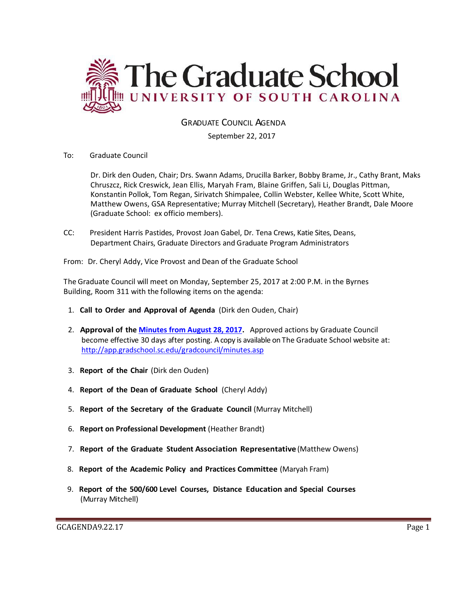

GRADUATE COUNCIL AGENDA

September 22, 2017

To: Graduate Council

Dr. Dirk den Ouden, Chair; Drs. Swann Adams, Drucilla Barker, Bobby Brame, Jr., Cathy Brant, Maks Chruszcz, Rick Creswick, Jean Ellis, Maryah Fram, Blaine Griffen, Sali Li, Douglas Pittman, Konstantin Pollok, Tom Regan, Sirivatch Shimpalee, Collin Webster, Kellee White, Scott White, Matthew Owens, GSA Representative; Murray Mitchell (Secretary), Heather Brandt, Dale Moore (Graduate School: ex officio members).

CC: President Harris Pastides, Provost Joan Gabel, Dr. Tena Crews, Katie Sites, Deans, Department Chairs, Graduate Directors and Graduate Program Administrators

From: Dr. Cheryl Addy, Vice Provost and Dean of the Graduate School

The Graduate Council will meet on Monday, September 25, 2017 at 2:00 P.M. in the Byrnes Building, Room 311 with the following items on the agenda:

- 1. **Call to Order and Approval of Agenda** (Dirk den Ouden, Chair)
- 2. **Approval of the [Minutes from August 28, 2017.](GCMINUTESAUG292017.pdf)** Approved actions by Graduate Council become effective 30 days after posting. A copy is available on The Graduate School website at: <http://app.gradschool.sc.edu/gradcouncil/minutes.asp>
- 3. **Report of the Chair** (Dirk den Ouden)
- 4. **Report of the Dean of Graduate School** (Cheryl Addy)
- 5. **Report of the Secretary of the Graduate Council** (Murray Mitchell)
- 6. **Report on Professional Development** (Heather Brandt)
- 7. **Report of the Graduate Student Association Representative** (Matthew Owens)
- 8. **Report of the Academic Policy and Practices Committee** (Maryah Fram)
- 9. **Report of the 500/600 Level Courses, Distance Education and Special Courses** (Murray Mitchell)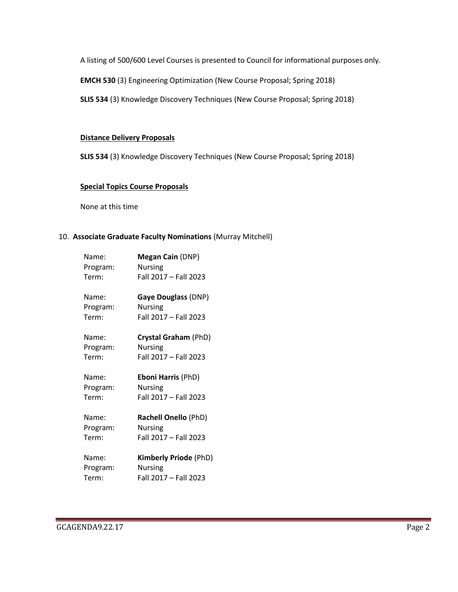A listing of 500/600 Level Courses is presented to Council for informational purposes only.

**EMCH 530** (3) Engineering Optimization (New Course Proposal; Spring 2018)

**SLIS 534** (3) Knowledge Discovery Techniques (New Course Proposal; Spring 2018)

### **Distance Delivery Proposals**

**SLIS 534** (3) Knowledge Discovery Techniques (New Course Proposal; Spring 2018)

# **Special Topics Course Proposals**

None at this time

# 10. **Associate Graduate Faculty Nominations** (Murray Mitchell)

| Name:    | Megan Cain (DNP)             |
|----------|------------------------------|
| Program: | <b>Nursing</b>               |
| Term:    | Fall 2017 - Fall 2023        |
| Name:    | Gaye Douglass (DNP)          |
| Program: | <b>Nursing</b>               |
| Term:    | Fall 2017 - Fall 2023        |
| Name:    | Crystal Graham (PhD)         |
| Program: | <b>Nursing</b>               |
| Term:    | Fall 2017 - Fall 2023        |
| Name:    | <b>Eboni Harris (PhD)</b>    |
| Program: | <b>Nursing</b>               |
| Term:    | Fall 2017 - Fall 2023        |
| Name:    | Rachell Onello (PhD)         |
| Program: | <b>Nursing</b>               |
| Term:    | Fall 2017 - Fall 2023        |
| Name:    | <b>Kimberly Priode (PhD)</b> |
| Program: | <b>Nursing</b>               |
| Term:    | Fall 2017 - Fall 2023        |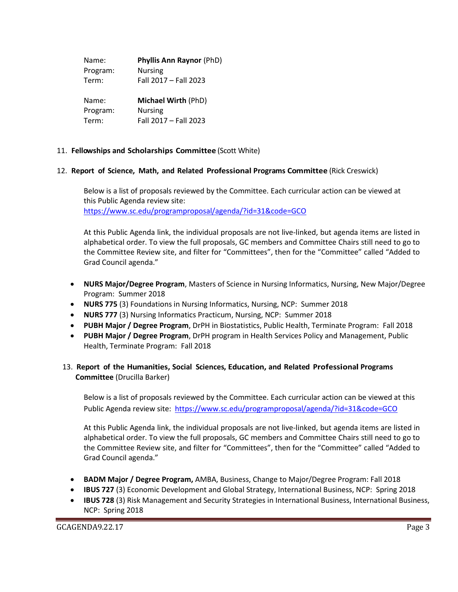| Name:    | <b>Phyllis Ann Raynor (PhD)</b> |
|----------|---------------------------------|
| Program: | <b>Nursing</b>                  |
| Term:    | Fall 2017 - Fall 2023           |
| Name:    | <b>Michael Wirth (PhD)</b>      |
| Program: | <b>Nursing</b>                  |
| Term:    | Fall 2017 - Fall 2023           |

### 11. **Fellowships and Scholarships Committee** (Scott White)

#### 12. **Report of Science, Math, and Related Professional Programs Committee** (Rick Creswick)

Below is a list of proposals reviewed by the Committee. Each curricular action can be viewed at this Public Agenda review site: <https://www.sc.edu/programproposal/agenda/?id=31&code=GCO>

At this Public Agenda link, the individual proposals are not live-linked, but agenda items are listed in alphabetical order. To view the full proposals, GC members and Committee Chairs still need to go to the Committee Review site, and filter for "Committees", then for the "Committee" called "Added to Grad Council agenda."

- **NURS Major/Degree Program**, Masters of Science in Nursing Informatics, Nursing, New Major/Degree Program: Summer 2018
- **NURS 775** (3) Foundations in Nursing Informatics, Nursing, NCP: Summer 2018
- **NURS 777** (3) Nursing Informatics Practicum, Nursing, NCP: Summer 2018
- **PUBH Major / Degree Program**, DrPH in Biostatistics, Public Health, Terminate Program: Fall 2018
- **PUBH Major / Degree Program**, DrPH program in Health Services Policy and Management, Public Health, Terminate Program: Fall 2018

# 13. **Report of the Humanities, Social Sciences, Education, and Related Professional Programs Committee** (Drucilla Barker)

Below is a list of proposals reviewed by the Committee. Each curricular action can be viewed at this Public Agenda review site: <https://www.sc.edu/programproposal/agenda/?id=31&code=GCO>

At this Public Agenda link, the individual proposals are not live-linked, but agenda items are listed in alphabetical order. To view the full proposals, GC members and Committee Chairs still need to go to the Committee Review site, and filter for "Committees", then for the "Committee" called "Added to Grad Council agenda."

- **BADM Major / Degree Program,** AMBA, Business, Change to Major/Degree Program: Fall 2018
- **IBUS 727** (3) Economic Development and Global Strategy, International Business, NCP: Spring 2018
- **IBUS 728** (3) Risk Management and Security Strategies in International Business, International Business, NCP: Spring 2018